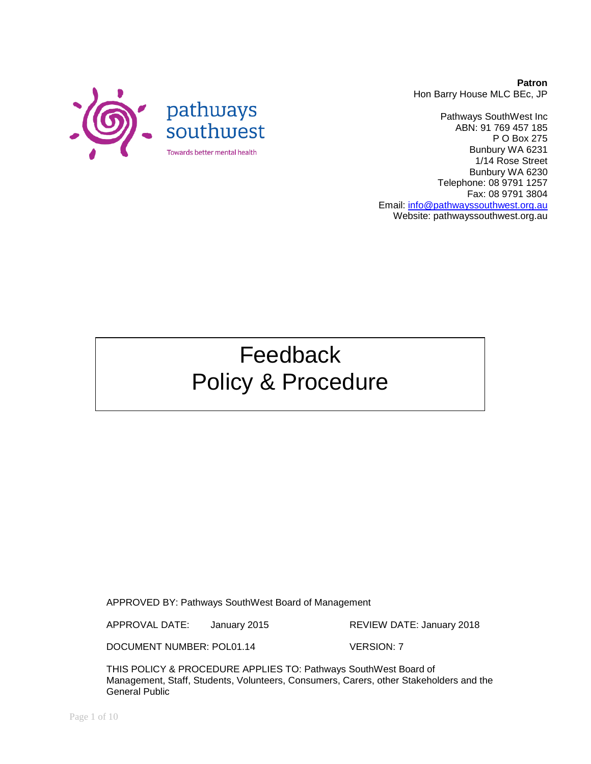

**Patron** Hon Barry House MLC BEc, JP

Pathways SouthWest Inc ABN: 91 769 457 185 P O Box 275 Bunbury WA 6231 1/14 Rose Street Bunbury WA 6230 Telephone: 08 9791 1257 Fax: 08 9791 3804 Email: [info@pathwayssouthwest.org.au](mailto:info@pathwayssouthwest.org.au) Website: pathwayssouthwest.org.au

# Feedback Policy & Procedure

APPROVED BY: Pathways SouthWest Board of Management

APPROVAL DATE: January 2015 REVIEW DATE: January 2018

DOCUMENT NUMBER: POL01.14 VERSION: 7

THIS POLICY & PROCEDURE APPLIES TO: Pathways SouthWest Board of Management, Staff, Students, Volunteers, Consumers, Carers, other Stakeholders and the General Public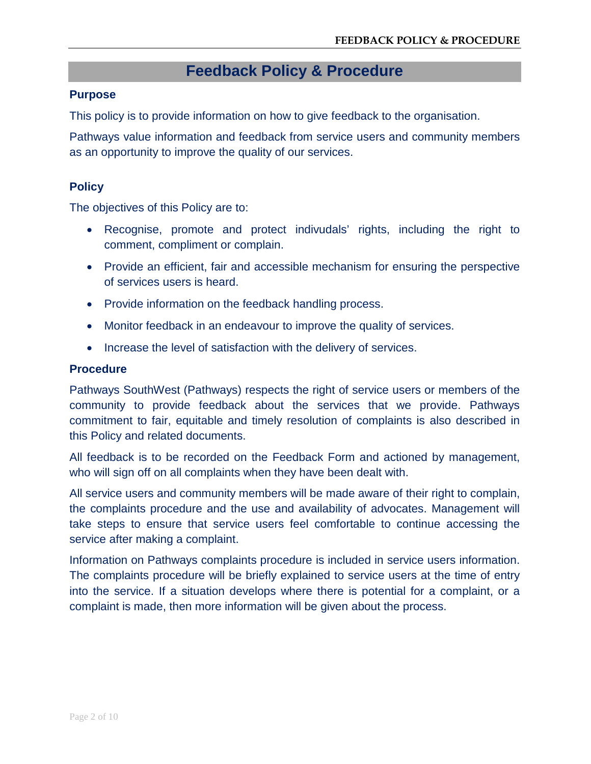## **Feedback Policy & Procedure**

#### **Purpose**

This policy is to provide information on how to give feedback to the organisation.

Pathways value information and feedback from service users and community members as an opportunity to improve the quality of our services.

#### **Policy**

The objectives of this Policy are to:

- Recognise, promote and protect indivudals' rights, including the right to comment, compliment or complain.
- Provide an efficient, fair and accessible mechanism for ensuring the perspective of services users is heard.
- Provide information on the feedback handling process.
- Monitor feedback in an endeavour to improve the quality of services.
- Increase the level of satisfaction with the delivery of services.

#### **Procedure**

Pathways SouthWest (Pathways) respects the right of service users or members of the community to provide feedback about the services that we provide. Pathways commitment to fair, equitable and timely resolution of complaints is also described in this Policy and related documents.

All feedback is to be recorded on the Feedback Form and actioned by management, who will sign off on all complaints when they have been dealt with.

All service users and community members will be made aware of their right to complain, the complaints procedure and the use and availability of advocates. Management will take steps to ensure that service users feel comfortable to continue accessing the service after making a complaint.

Information on Pathways complaints procedure is included in service users information. The complaints procedure will be briefly explained to service users at the time of entry into the service. If a situation develops where there is potential for a complaint, or a complaint is made, then more information will be given about the process.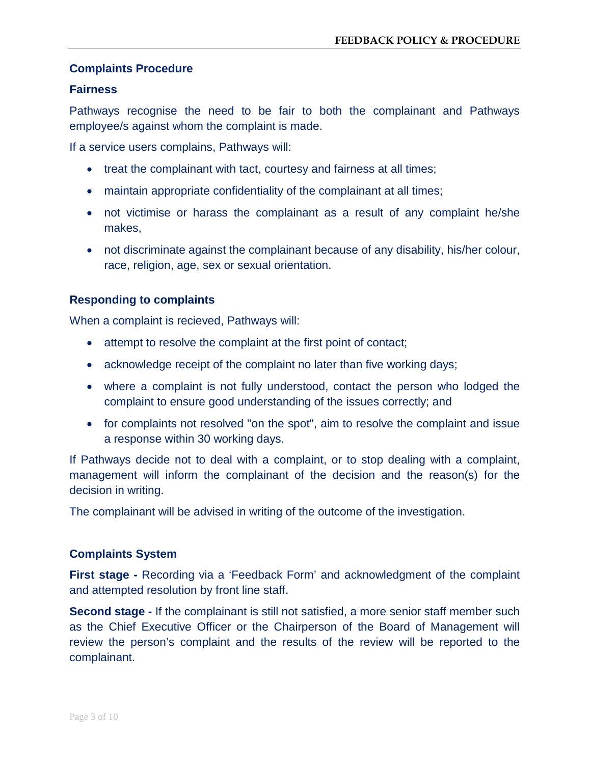#### **Complaints Procedure**

#### **Fairness**

Pathways recognise the need to be fair to both the complainant and Pathways employee/s against whom the complaint is made.

If a service users complains, Pathways will:

- treat the complainant with tact, courtesy and fairness at all times;
- maintain appropriate confidentiality of the complainant at all times;
- not victimise or harass the complainant as a result of any complaint he/she makes,
- not discriminate against the complainant because of any disability, his/her colour, race, religion, age, sex or sexual orientation.

#### **Responding to complaints**

When a complaint is recieved, Pathways will:

- attempt to resolve the complaint at the first point of contact;
- acknowledge receipt of the complaint no later than five working days;
- where a complaint is not fully understood, contact the person who lodged the complaint to ensure good understanding of the issues correctly; and
- for complaints not resolved "on the spot", aim to resolve the complaint and issue a response within 30 working days.

If Pathways decide not to deal with a complaint, or to stop dealing with a complaint, management will inform the complainant of the decision and the reason(s) for the decision in writing.

The complainant will be advised in writing of the outcome of the investigation.

#### **Complaints System**

**First stage -** Recording via a 'Feedback Form' and acknowledgment of the complaint and attempted resolution by front line staff.

**Second stage -** If the complainant is still not satisfied, a more senior staff member such as the Chief Executive Officer or the Chairperson of the Board of Management will review the person's complaint and the results of the review will be reported to the complainant.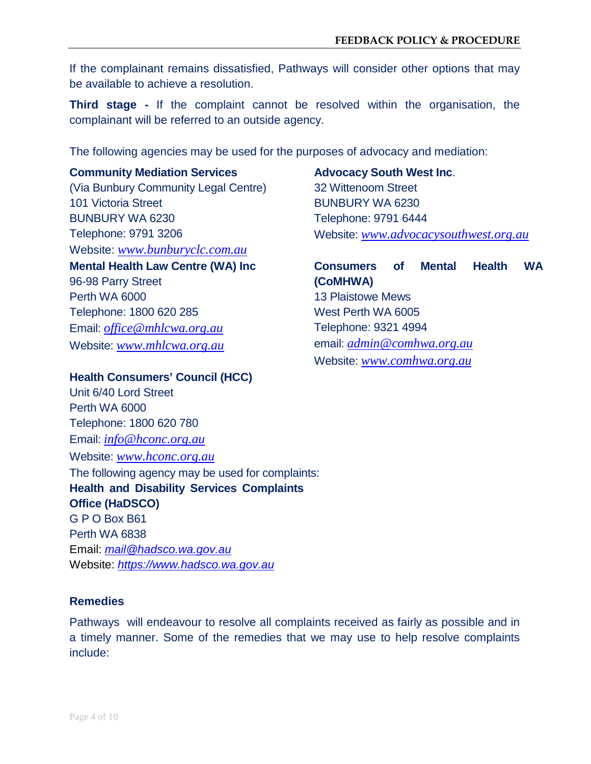If the complainant remains dissatisfied, Pathways will consider other options that may be available to achieve a resolution.

**Third stage -** If the complaint cannot be resolved within the organisation, the complainant will be referred to an outside agency.

The following agencies may be used for the purposes of advocacy and mediation:

#### **Community Mediation Services**

(Via Bunbury Community Legal Centre) 101 Victoria Street BUNBURY WA 6230 Telephone: 9791 3206 Website: *www.bunburyclc.com.au*

**Mental Health Law Centre (WA) Inc**

96-98 Parry Street Perth WA 6000 Telephone: 1800 620 285 Email: *[office@mhlcwa.org.au](mailto:office@mhlcwa.org.au)* Website: *www.mhlcwa.org.au*

## **Advocacy South West Inc**. 32 Wittenoom Street BUNBURY WA 6230 Telephone: 9791 6444 Website: *www.advocacysouthwest.org.au*

**Consumers of Mental Health WA (CoMHWA)** 13 Plaistowe Mews West Perth WA 6005 Telephone: 9321 4994 email: *[admin@comhwa.org.au](mailto:admin@comhwa.org.au)* Website: *[www.comhwa.org.au](http://www.comhwa.org.au/)*

#### **Health Consumers' Council (HCC)**

Unit 6/40 Lord Street Perth WA 6000 Telephone: 1800 620 780 Email: *[info@hconc.org.au](mailto:info@hconc.org.au)* Website: *www.hconc.org.au*

The following agency may be used for complaints: **Health and Disability Services Complaints Office (HaDSCO)** G P O Box B61 Perth WA 6838 Email: *[mail@hadsco.wa.gov.au](mailto:mail@hadsco.wa.gov.au)* Website: *[https://www.hadsco.wa.gov.au](https://www.hadsco.wa.gov.au/)*

### **Remedies**

Pathways will endeavour to resolve all complaints received as fairly as possible and in a timely manner. Some of the remedies that we may use to help resolve complaints include: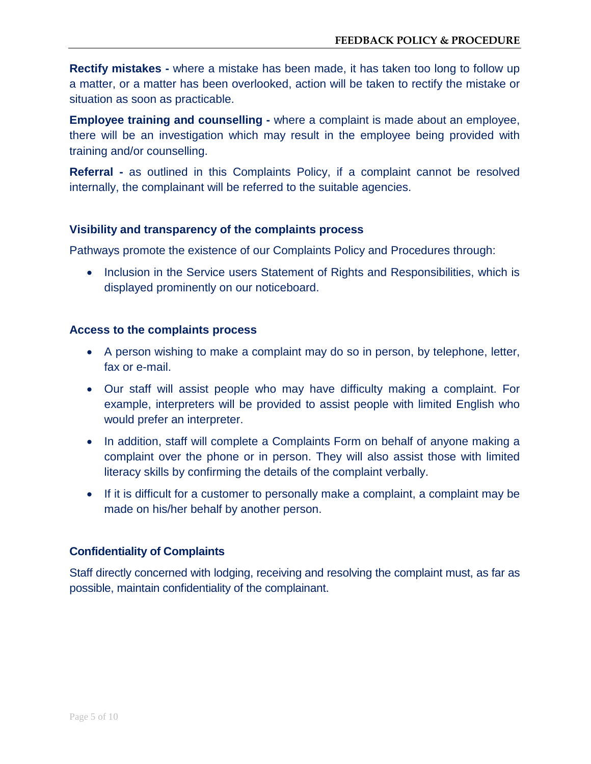**Rectify mistakes -** where a mistake has been made, it has taken too long to follow up a matter, or a matter has been overlooked, action will be taken to rectify the mistake or situation as soon as practicable.

**Employee training and counselling -** where a complaint is made about an employee, there will be an investigation which may result in the employee being provided with training and/or counselling.

**Referral -** as outlined in this Complaints Policy, if a complaint cannot be resolved internally, the complainant will be referred to the suitable agencies.

#### **Visibility and transparency of the complaints process**

Pathways promote the existence of our Complaints Policy and Procedures through:

• Inclusion in the Service users Statement of Rights and Responsibilities, which is displayed prominently on our noticeboard.

#### **Access to the complaints process**

- A person wishing to make a complaint may do so in person, by telephone, letter, fax or e-mail.
- Our staff will assist people who may have difficulty making a complaint. For example, interpreters will be provided to assist people with limited English who would prefer an interpreter.
- In addition, staff will complete a Complaints Form on behalf of anyone making a complaint over the phone or in person. They will also assist those with limited literacy skills by confirming the details of the complaint verbally.
- If it is difficult for a customer to personally make a complaint, a complaint may be made on his/her behalf by another person.

#### **Confidentiality of Complaints**

Staff directly concerned with lodging, receiving and resolving the complaint must, as far as possible, maintain confidentiality of the complainant.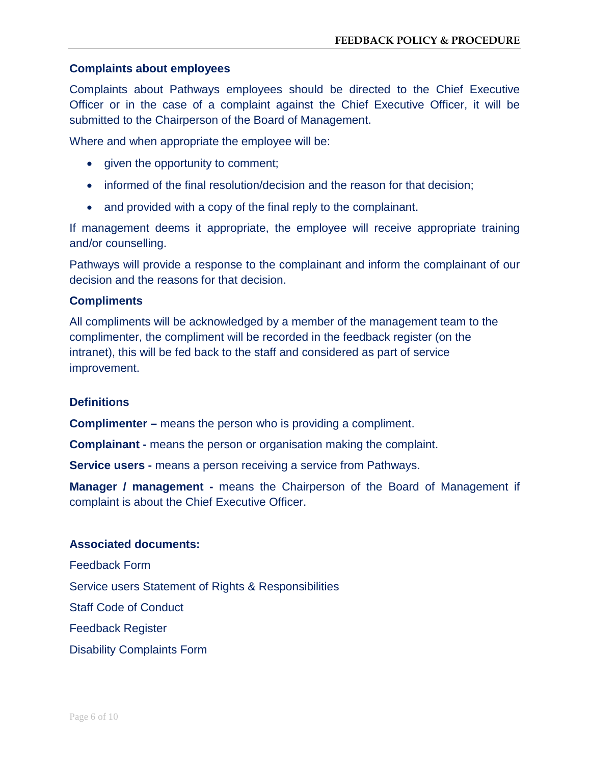#### **Complaints about employees**

Complaints about Pathways employees should be directed to the Chief Executive Officer or in the case of a complaint against the Chief Executive Officer, it will be submitted to the Chairperson of the Board of Management.

Where and when appropriate the employee will be:

- given the opportunity to comment;
- informed of the final resolution/decision and the reason for that decision;
- and provided with a copy of the final reply to the complainant.

If management deems it appropriate, the employee will receive appropriate training and/or counselling.

Pathways will provide a response to the complainant and inform the complainant of our decision and the reasons for that decision.

#### **Compliments**

All compliments will be acknowledged by a member of the management team to the complimenter, the compliment will be recorded in the feedback register (on the intranet), this will be fed back to the staff and considered as part of service improvement.

#### **Definitions**

**Complimenter –** means the person who is providing a compliment.

**Complainant -** means the person or organisation making the complaint.

**Service users -** means a person receiving a service from Pathways.

**Manager / management -** means the Chairperson of the Board of Management if complaint is about the Chief Executive Officer.

#### **Associated documents:**

Feedback Form Service users Statement of Rights & Responsibilities Staff Code of Conduct Feedback Register Disability Complaints Form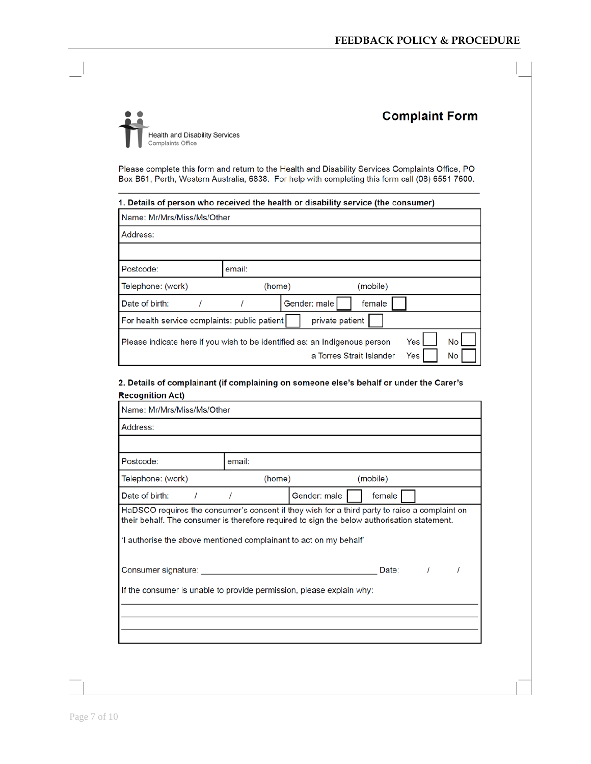## **Health and Disability Services** Complaints Office

## **Complaint Form**

Please complete this form and return to the Health and Disability Services Complaints Office, PO Box B61, Perth, Western Australia, 6838. For help with completing this form call (08) 6551 7600.

| 1. Details of person who received the health or disability service (the consumer)                                                               |        |              |          |  |  |  |  |
|-------------------------------------------------------------------------------------------------------------------------------------------------|--------|--------------|----------|--|--|--|--|
| Name: Mr/Mrs/Miss/Ms/Other                                                                                                                      |        |              |          |  |  |  |  |
| Address:                                                                                                                                        |        |              |          |  |  |  |  |
|                                                                                                                                                 |        |              |          |  |  |  |  |
| Postcode:                                                                                                                                       | email: |              |          |  |  |  |  |
| Telephone: (work)                                                                                                                               | (home) |              | (mobile) |  |  |  |  |
| Date of birth:                                                                                                                                  |        | Gender: male | female   |  |  |  |  |
| For health service complaints: public patient<br>private patient                                                                                |        |              |          |  |  |  |  |
| <b>No</b><br>$\sf I$ Please indicate here if you wish to be identified as: an Indigenous person<br>Yes<br>a Torres Strait Islander<br>Yes<br>No |        |              |          |  |  |  |  |

#### 2. Details of complainant (if complaining on someone else's behalf or under the Carer's **Recognition Act)**

| Name: Mr/Mrs/Miss/Ms/Other                                                                                                                                                                                                                                        |                        |  |  |  |  |  |
|-------------------------------------------------------------------------------------------------------------------------------------------------------------------------------------------------------------------------------------------------------------------|------------------------|--|--|--|--|--|
| Address:                                                                                                                                                                                                                                                          |                        |  |  |  |  |  |
|                                                                                                                                                                                                                                                                   |                        |  |  |  |  |  |
| Postcode:                                                                                                                                                                                                                                                         | email:                 |  |  |  |  |  |
| Telephone: (work)                                                                                                                                                                                                                                                 | (mobile)<br>(home)     |  |  |  |  |  |
| Date of birth:                                                                                                                                                                                                                                                    | Gender: male<br>female |  |  |  |  |  |
| HaDSCO requires the consumer's consent if they wish for a third party to raise a complaint on<br>their behalf. The consumer is therefore required to sign the below authorisation statement.<br>'I authorise the above mentioned complainant to act on my behalf' |                        |  |  |  |  |  |
| Consumer signature:                                                                                                                                                                                                                                               | Date:                  |  |  |  |  |  |
| If the consumer is unable to provide permission, please explain why:                                                                                                                                                                                              |                        |  |  |  |  |  |
|                                                                                                                                                                                                                                                                   |                        |  |  |  |  |  |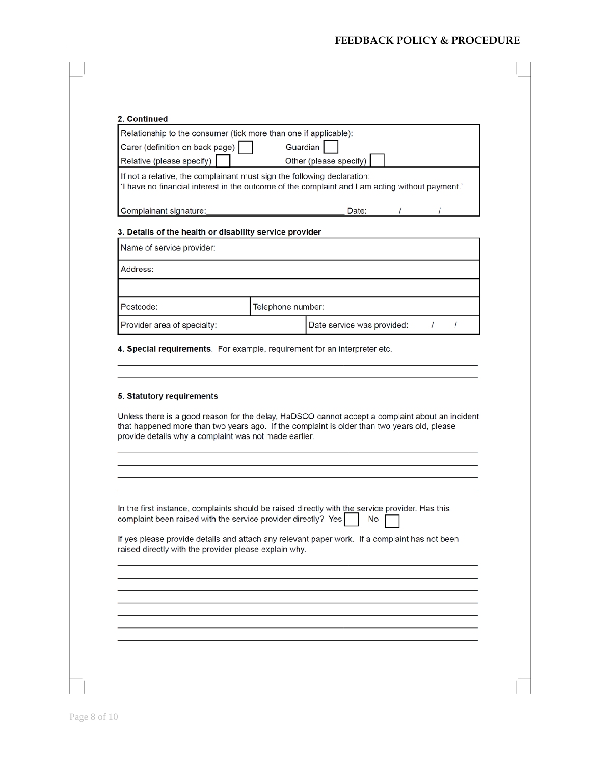#### **FEEDBACK POLICY & PROCEDURE**

r.

|                                                                                                                                                                 |                   | Relationship to the consumer (tick more than one if applicable):                                      |
|-----------------------------------------------------------------------------------------------------------------------------------------------------------------|-------------------|-------------------------------------------------------------------------------------------------------|
| Carer (definition on back page)                                                                                                                                 |                   | Guardian                                                                                              |
| Relative (please specify)                                                                                                                                       |                   | Other (please specify)                                                                                |
| If not a relative, the complainant must sign the following declaration:                                                                                         |                   | 'I have no financial interest in the outcome of the complaint and I am acting without payment.'       |
| Complainant signature:                                                                                                                                          |                   | T<br>Date:                                                                                            |
| 3. Details of the health or disability service provider                                                                                                         |                   |                                                                                                       |
| Name of service provider:                                                                                                                                       |                   |                                                                                                       |
| Address:                                                                                                                                                        |                   |                                                                                                       |
|                                                                                                                                                                 |                   |                                                                                                       |
| Postcode:                                                                                                                                                       | Telephone number: |                                                                                                       |
| Provider area of specialty:                                                                                                                                     |                   | Date service was provided:<br>$\prime$<br>T                                                           |
|                                                                                                                                                                 |                   | Unless there is a good reason for the delay, HaDSCO cannot accept a complaint about an incident       |
|                                                                                                                                                                 |                   | that happened more than two years ago. If the complaint is older than two years old, please           |
|                                                                                                                                                                 |                   |                                                                                                       |
| 4. Special requirements. For example, requirement for an interpreter etc.<br>5. Statutory requirements<br>provide details why a complaint was not made earlier. |                   |                                                                                                       |
|                                                                                                                                                                 |                   | In the first instance, complaints should be raised directly with the service provider. Has this<br>No |
| complaint been raised with the service provider directly? Yes<br>raised directly with the provider please explain why.                                          |                   | If yes please provide details and attach any relevant paper work. If a complaint has not been         |
|                                                                                                                                                                 |                   |                                                                                                       |
|                                                                                                                                                                 |                   |                                                                                                       |
|                                                                                                                                                                 |                   |                                                                                                       |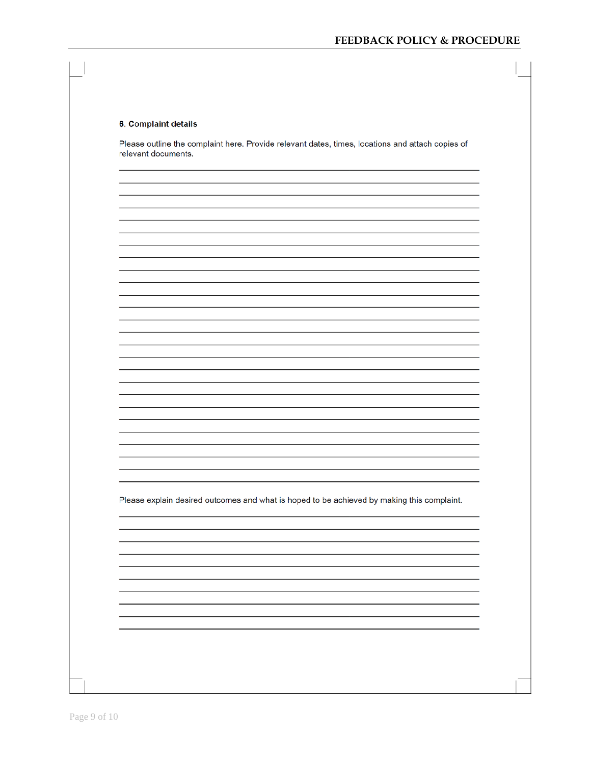#### 6. Complaint details

Please outline the complaint here. Provide relevant dates, times, locations and attach copies of relevant documents.

Please explain desired outcomes and what is hoped to be achieved by making this complaint.